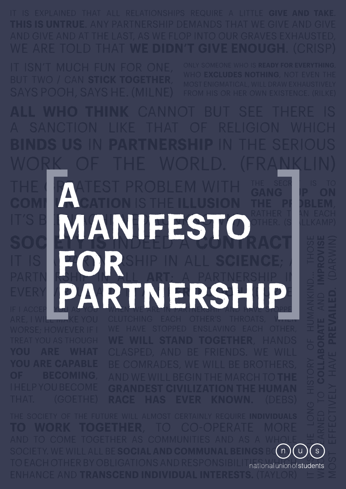work of the world. (Franklin)

ARE, I WILL MAKE YOU

THE GREATEST PROBLEM WITH **COMI LA CATION** IS THE **ILLUSION it's bennown and achieved. SOCIETY IS INDEED A CONTRACT.** partnership in all **art**; a partnership in **EVERY VID AND IN NIERDICE ENDE** EVERY **I PARTNERSHIP** THE SECR is to GANG P ON THE P**F** DBLEM, RATHER T AN EACH OTHER. (S<mark>tall</mark>LLKAMP) **a manifesto for** 

CLUTCHING EACH OTHER'S THROATS, WHEN

who learned to collaborate and interest and interest and and interest and interest and interest and interest and <br>Interest and interest and interest and interest and interest and interest and interest and interest and inte It is the long history of humanking and to come together as communities and as a whole SOCIETY. WE WILL ALL BE **SOCIAL AND COMMUNAL BEINGS** BOUND  $\mathsf S$ national union of students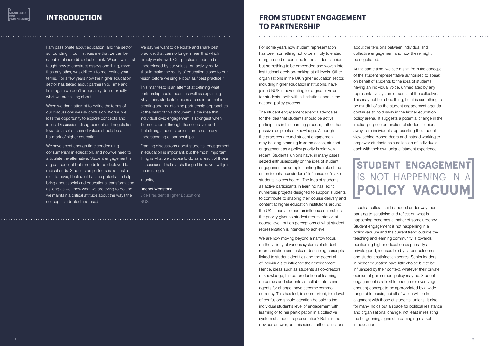I am passionate about education, and the sector surrounding it, but it strikes me that we can be capable of incredible doublethink. When I was first simply works well. Our practice needs to be taught how to construct essays one thing, more than any other, was drilled into me: define your terms. For a few years now the higher education sector has talked about partnership. Time and time again we don't adequately define exactly what we are talking about.

When we don't attempt to define the terms of our discussions we risk confusion. Worse, we lose the opportunity to explore concepts and ideas. Discussion, disagreement and negotiation towards a set of shared values should be a hallmark of higher education.

We have spent enough time condemning consumerism in education, and now we need to articulate the alternative. Student engagement is a great concept but it needs to be deployed to radical ends. Students as partners is not just a nice-to-have, I believe it has the potential to help bring about social and educational transformation, as long as we know what we are trying to do and we maintain a critical attitude about the ways the concept is adopted and used.

We say we want to celebrate and share best practice; that can no longer mean that which underpinned by our values. An activity really should make the reality of education closer to our vision before we single it out as "best practice."

This manifesto is an attempt at defining what partnership could mean, as well as explaining why I think students' unions are so important in creating and maintaining partnership approaches. At the heart of this document is the idea that individual civic engagement is strongest when it comes about through the collective, and that strong students' unions are core to any understanding of partnerships.

Framing discussions about students' engagement in education is important, but the most important thing is what we choose to do as a result of those discussions. That's a challenge I hope you will join me in rising to.

In unity,

#### Rachel Wenstone

Vice President (Higher Education) NUS

#### **INTRODUCTION**

For some years now student representation has been something not to be simply tolerated, marginalised or confined to the students' union, but something to be embedded and woven into institutional decision-making at all levels. Other organisations in the UK higher education sector, including higher education institutions, have joined NUS in advocating for a greater voice for students, both within institutions and in the national policy process.

The student engagement agenda advocates for the idea that students should be active participants in the learning process, rather than passive recipients of knowledge. Although the practices around student engagement may be long-standing in some cases, student engagement as a policy priority is relatively recent. Students' unions have, in many cases, seized enthusiastically on the idea of student engagement as complementing the role of the union to enhance students' influence or 'make students' voices heard'. The idea of students as active participants in learning has led to numerous projects designed to support students to contribute to shaping their course delivery and content at higher education institutions around the UK. It has also had an influence on, not just the priority given to student representation at course level, but on perceptions of what student representation is intended to achieve.

We are now moving beyond a narrow focus on the validity of various systems of student representation and instead describing concepts linked to student identities and the potential of individuals to influence their environment. Hence, ideas such as students as co-creators of knowledge, the co-production of learning outcomes and students as collaborators and agents for change, have become common currency. This has led, to some extent, to a level of confusion: should attention be paid to the individual student's level of engagement with learning or to her participation in a collective system of student representation? Both, is the obvious answer, but this raises further questions

about the tensions between individual and collective engagement and how these might

be negotiated.

At the same time, we see a shift from the concept of the student representative authorised to speak on behalf of students to the idea of students having an individual voice, unmediated by any representative system or sense of the collective. This may not be a bad thing, but it is something to be mindful of as the student engagement agenda continues to hold sway in the higher education policy arena. It suggests a potential change in the implicit purpose or function of students' unions away from individuals representing the student view behind closed doors and instead working to empower students as a collection of individuals each with their own unique 'student experience'.

If such a cultural shift is indeed under way then pausing to scrutinise and reflect on what is happening becomes a matter of some urgency. Student engagement is not happening in a policy vacuum and the current trend outside the teaching and learning community is towards positioning higher education as primarily a private good, measurable by career outcomes and student satisfaction scores. Senior leaders in higher education have little choice but to be influenced by their context, whatever their private opinion of government policy may be. Student engagement is a flexible enough (or even vague enough) concept to be appropriated by a wide range of interests, not all of which will be in alignment with those of students' unions. It also, for many, holds out a space for political resistance and organisational change, not least in resisting the burgeoning signs of a damaging market in education.

### **From student engagement to partnership**

### **Student engagement**  is not happening in a **policy vacuum**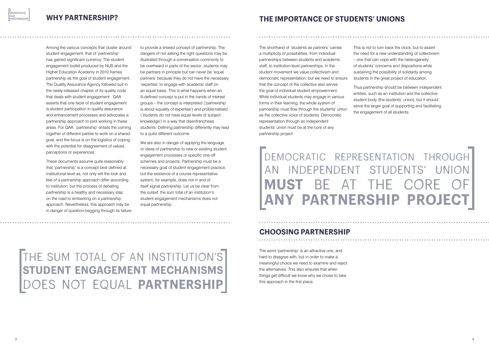Among the various concepts that cluster around student engagement, that of 'partnership' has gained significant currency. The student engagement toolkit produced by NUS and the Higher Education Academy in 2010 frames partnership as the goal of student engagement. The Quality Assurance Agency followed suit in the newly-released chapter of its quality code that deals with student engagement: QAA asserts that one facet of student engagement is student participation in quality assurance and enhancement processes and advocates a partnership approach to joint working in these areas. For QAA, 'partnership' entails the coming together of different parties to work on a shared goal, and the focus is on the logistics of coping with the potential for disagreement of values, perceptions or experiences.

These documents assume quite reasonably that 'partnership' is a concept best defined at institutional level as, not only will the look and feel of a partnership approach differ according to institution, but the process of debating partnership is a healthy and necessary step on the road to embarking on a partnership approach. Nevertheless, this approach may be in danger of question-begging through its failure to provide a shared concept of partnership. The dangers of not asking the right questions may be illustrated through a conversation commonly to be overheard in parts of the sector: students may be partners in principle but can never be 'equal partners' because they do not have the necessary 'expertise' to engage with academic staff on an equal basis. This is what happens when an ill-defined concept is put in the hands of interest groups – the concept is interpreted ('partnership is about equality of expertise') and problematised ('students do not have equal levels of subject knowledge') in a way that disenfranchises students. Defining partnership differently may lead to a quite different outcome.

We are also in danger of applying the language or ideas of partnership to new or existing student engagement processes or specific one-off schemes and projects. Partnership must be a necessary goal of student engagement practice, but the existence of a course representative system, for example, does not in and of itself signal partnership. Let us be clear from the outset, the sum total of an institution's student engagement mechanisms does not equal partnership.

### The sum total of an institution's **student engagement mechanisms** does not equal **partnership**

The shorthand of 'students as partners' carries a multiplicity of possibilities, from individual partnerships between students and academic staff, to institution-level partnerships. In the student movement we value collectivism and democratic representation, but we need to ensure that the concept of the collective also serves the goal of individual student empowerment. While individual students may engage in various forms in their learning, the whole system of partnership must flow through the students' union as the collective voice of students. Democratic representation through an independent students' union must be at the core of any partnership project.

### **The importance of students' unions**

This is not to turn back the clock, but to assert the need for a new understanding of collectivism – one that can cope with the heterogeneity of students' concerns and dispositions while sustaining the possibility of solidarity among students in the great project of education.

Thus partnership should be between independent entities, such as an institution and the collective student body (the students' union), but it should serve the larger goal of supporting and facilitating the engagement of all students.

The word 'partnership' is an attractive one, and hard to disagree with, but in order to make a meaningful choice we need to examine and reject the alternatives. This also ensures that when things get difficult we know why we chose to take this approach in the first place.

#### **Choosing partnership**

### Democratic representation through an independent students' union **MUST BE AT THE CORE any partnership project**

**a manifesto for partnership**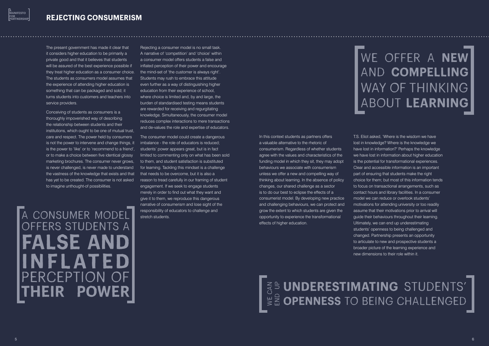The present government has made it clear that it considers higher education to be primarily a private good and that it believes that students will be assured of the best experience possible if they treat higher education as a consumer choice. the mind-set of 'the customer is always right'. The students as consumers model assumes that the experience of attending higher education is something that can be packaged and sold; it turns students into customers and teachers into service providers.

Conceiving of students as consumers is a thoroughly impoverished way of describing the relationship between students and their institutions, which ought to be one of mutual trust, care and respect. The power held by consumers is not the power to intervene and change things, it is the power to 'like' or to 'recommend to a friend', or to make a choice between five identical glossy marketing brochures. The consumer never grows, is never challenged, is never made to understand the vastness of the knowledge that exists and that has yet to be created. The consumer is not asked to imagine unthought-of possibilities.

a consumer model offers students a **false and inflated** PERCEPTION **POWER** 

Rejecting a consumer model is no small task. A narrative of 'competition' and 'choice' within a consumer model offers students a false and inflated perception of their power and encourage Students may rush to embrace this attitude even further as a way of distinguishing higher education from their experience of school, where choice is limited and, by and large, the burden of standardised testing means students are rewarded for receiving and regurgitating knowledge. Simultaneously, the consumer model reduces complex interactions to mere transactions and de-values the role and expertise of educators.

> $\parallel$ 불 OPENNESS TO BEING CHALLENGED **Z<br>CAN** end up

The consumer model could create a dangerous imbalance - the role of educators is reduced; students' power appears great, but is in fact limited to commenting only on what has been sold to them, and student satisfaction is substituted for learning. Tackling this mindset is a challenge that needs to be overcome, but it is also a reason to tread carefully in our framing of student engagement. If we seek to engage students merely in order to find out what they want and give it to them, we reproduce this dangerous narrative of consumerism and lose sight of the responsibility of educators to challenge and stretch students.

In this context students as partners offers a valuable alternative to the rhetoric of consumerism. Regardless of whether students agree with the values and characteristics of the funding model in which they sit, they may adopt behaviours we associate with consumerism unless we offer a new and compelling way of thinking about learning. In the absence of policy changes, our shared challenge as a sector is to do our best to eclipse the effects of a consumerist model. By developing new practice and challenging behaviours, we can protect and grow the extent to which students are given the opportunity to experience the transformational effects of higher education.

## we offer a **new**  and **compelling** way of thinking about **learning**

# **underestimating** students'

T.S. Eliot asked, 'Where is the wisdom we have lost in knowledge? Where is the knowledge we have lost in information?' Perhaps the knowledge we have lost in information about higher education is the potential for transformational experiences. Clear and accessible information is an important part of ensuring that students make the right choice for them; but most of this information tends to focus on transactional arrangements, such as contact hours and library facilities. In a consumer model we can reduce or overlook students' motivations for attending university or too readily assume that their motivations prior to arrival will guide their behaviours throughout their learning. Ultimately, we can end up underestimating students' openness to being challenged and changed. Partnership presents an opportunity to articulate to new and prospective students a broader picture of the learning experience and new dimensions to their role within it.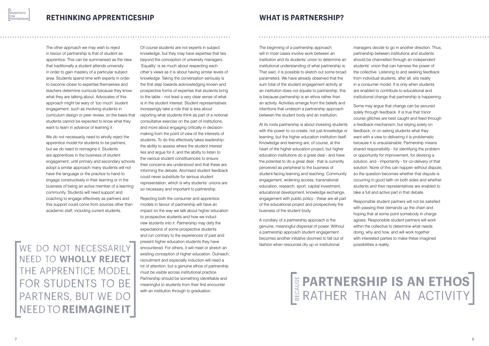#### **What is partnership?**

### **partnership is an ethos ERATHER THAN AN ACTIVITY**

The beginning of a partnership approach will in most cases involve work between an institution and its students' union to determine an institutional understanding of what partnership is. That said, it is possible to sketch out some broad parameters. We have already observed that the sum total of the student engagement activity at an institution does not equate to partnership; this is because partnership is an ethos rather than an activity. Activities emerge from the beliefs and intentions that underpin a partnership approach between the student body and an institution.

At its roots partnership is about investing students with the power to co-create, not just knowledge or learning, but the higher education institution itself. Knowledge and learning are, of course, at the heart of the higher education project, but higher education institutions do a great deal - and have the potential to do a great deal - that is currently perceived as peripheral to the business of student-facing learning and teaching. Community engagement, widening access, transnational education, research, sport, capital investment, educational development, knowledge exchange, engagement with public policy - these are all part of the educational project and prospectively the business of the student body.

A corollary of a partnership approach is the genuine, meaningful dispersal of power. Without a partnership approach student engagement becomes another initiative doomed to fall out of fashion when resources dry up or institutional

managers decide to go in another direction. Thus, partnership between institutions and students should be channelled through an independent students' union that can harness the power of the collective. Listening to and seeking feedback from individual students, after all, sits neatly in a consumer model. It is only when students are enabled to contribute to educational and institutional change that partnership is happening.

Some may argue that change can be secured solely through feedback. It is true that minor course glitches are best caught and fixed through a feedback mechanism, but relying solely on feedback, or on asking students what they want with a view to delivering it is problematic because it is unsustainable. Partnership means shared responsibility - for identifying the problem or opportunity for improvement, for devising a solution, and - importantly - for co-delivery of that solution. None of this can happen without dispute, so the question becomes whether that dispute is occurring in good faith on both sides and whether students and their representatives are enabled to take a full and active part in that debate.

Responsible student partners will not be satisfied with passing their demands up the chain and hoping that at some point somebody in charge agrees. Responsible student partners will work within the collective to determine what needs doing, why and how, and will work together with interested parties to make these imagined possibilities a reality.



WE DO NOT NECESSARILY need to **wholly reject**  the apprentice model FOR STUDENTS TO BE partners, but we do need to **reimagine it**

The other approach we may wish to reject in favour of partnership is that of student as apprentice. This can be summarised as the idea that traditionally a student attends university in order to gain mastery of a particular subject area. Students spend time with experts in order to become closer to expertise themselves and teachers determine curricula because they know what they are talking about. Advocates of this approach might be wary of 'too much' student engagement, such as involving students in curriculum design or peer review, on the basis that students cannot be expected to know what they want to learn in advance of learning it.

We do not necessarily need to wholly reject the apprentice model for students to be partners, but we do need to reimagine it. Students are apprentices in the business of student engagement; until primary and secondary schools adopt a similar approach many students will not have the language or the practice to hand to engage constructively in their learning or in the business of being an active member of a learning community. Students will need support and coaching to engage effectively as partners and this support could come from sources other than academic staff, including current students.

Of course students are not experts in subject knowledge, but they may have expertise that lies beyond the conception of university managers. 'Equality' is as much about respecting each other's views as it is about having similar levels of knowledge. Taking the conversation seriously is the first step towards acknowledging known and prospective forms of expertise that students bring to the table – not least a very clear sense of what is in the student interest. Student representatives increasingly take a role that is less about reporting what students think as part of a notional consultative exercise on the part of institutions, and more about engaging critically in decisionmaking from the point of view of the interests of students. To do this effectively takes leadership: the ability to assess where the student interest lies and argue for it, and the ability to listen to the various student constituencies to ensure their concerns are understood and that these are informing the debate. Atomised student feedback could never substitute for serious student representation, which is why students' unions are so necessary and important to partnership.

Rejecting both the consumer and apprentice models in favour of partnership will have an impact on the way we talk about higher education to prospective students and how we induct new students into it. Partnership may defy the expectations of some prospective students and run contrary to the experiences of past and present higher education students they have encountered. For others, it will meet or stretch an existing conception of higher education. Outreach, recruitment and especially induction will need a lot of attention, but a genuine ethos of partnership must be visible across institutional practice. Partnership should be something identifiable and meaningful to students from their first encounter with an institution through to graduation.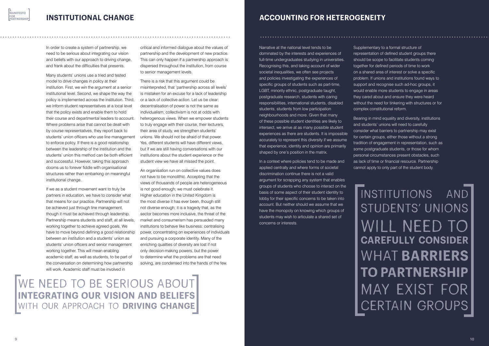**Accounting for heterogeneity**

Narrative at the national level tends to be dominated by the interests and experiences of full-time undergraduates studying in universities. Recognising this, and taking account of wider societal inequalities, we often see projects and policies investigating the experiences of specific groups of students such as part-time, LGBT, minority ethnic, postgraduate taught, postgraduate research, students with caring responsibilities, international students, disabled students, students from low participation neighbourhoods and more. Given that many of these possible student identities are likely to intersect, we arrive at as many possible student experiences as there are students. It is impossible accurately to represent this diversity if we assume that experience, identity and opinion are primarily shaped by one's position in the matrix.

In a context where policies tend to be made and applied centrally and where forms of societal discrimination continue there is not a valid argument for scrapping any system that enables groups of students who choose to interact on the basis of some aspect of their student identity to lobby for their specific concerns to be taken into account. But neither should we assume that we have the monopoly on knowing which groups of students may wish to articulate a shared set of concerns or interests.

## institutions and students' unions will need to **carefully consider**  what **barriers to partnership** may exist for CERTAIN GROUPS

Supplementary to a formal structure of representation of defined student groups there should be scope to facilitate students coming together for defined periods of time to work on a shared area of interest or solve a specific problem. If unions and institutions found ways to support and recognise such ad-hoc groups, it would enable more students to engage in areas they cared about and ensure they were heard without the need for tinkering with structures or for complex constitutional reform.

Bearing in mind equality and diversity, institutions and students' unions will need to carefully consider what barriers to partnership may exist for certain groups, either those without a strong tradition of engagement in representation, such as some postgraduate students, or those for whom personal circumstances present obstacles, such as lack of time or financial resource. Partnership cannot apply to only part of the student body.

In order to create a system of partnership, we need to be serious about integrating our vision and beliefs with our approach to driving change, and frank about the difficulties that presents.

Many students' unions use a tried and tested model to drive changes in policy at their institution. First, we win the argument at a senior institutional level. Second, we shape the way the policy is implemented across the institution. Third, we inform student representatives at a local level that the policy exists and enable them to hold their course and departmental leaders to account. Where problems arise that cannot be dealt with by course representatives, they report back to students' union officers who use line management to enforce policy. If there is a good relationship between the leadership of the institution and the students' union this method can be both efficient and successful. However, taking this approach dooms us to forever fiddle with organisational structures rather than embarking on meaningful institutional change.

If we as a student movement want to truly be partners in education, we have to consider what that means for our practice. Partnership will not be achieved just through line management, though it must be achieved through leadership. Partnership means students and staff, at all levels, working together to achieve agreed goals. We have to move beyond defining a good relationship between an institution and a students' union as students' union officers and senior management working together. This will mean enabling academic staff, as well as students, to be part of the conversation on determining how partnership will work. Academic staff must be involved in

critical and informed dialogue about the values of partnership and the development of new practice. This can only happen if a partnership approach is dispersed throughout the institution, from course to senior management levels.

There is a risk that this argument could be misinterpreted, that 'partnership across all levels' is mistaken for an excuse for a lack of leadership or a lack of collective action. Let us be clear: decentralisation of power is not the same as individualism; collectivism is not at odds with heterogenous views. When we empower students to truly engage with their course, their lecturers, their area of study, we strengthen students' unions. We should not be afraid of that power. Yes, different students will have different views, but if we are still having conversations with our institutions about the student experience or the student view we have all missed the point.

An organisation run on collective values does not have to be monolithic. Accepting that the views of thousands of people are heterogeneous is not good enough; we must celebrate it. Higher education in the United Kingdom is the most diverse it has ever been, though still not diverse enough; it is a tragedy that, as the sector becomes more inclusive, the threat of the market and consumerism has persuaded many institutions to behave like business: centralising power, concentrating on experiences of individuals and pursuing a corporate identity. Many of the enriching qualities of diversity are lost if not only decision-making powers, but the power to determine what the problems are that need solving, are condensed into the hands of the few.

#### **Institutional change**

we need to be serious about **integrating our vision and beliefs** with our approach to **driving change**

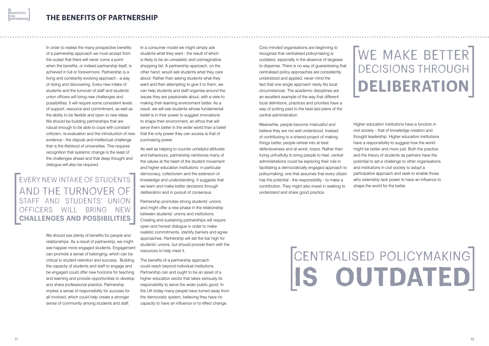Civic-minded organisations are beginning to recognise that centralised policymaking is outdated, especially in the absence of largesse to dispense. There is no way of guaranteeing that centralised policy approaches are consistently understood and applied, never mind the fact that one single approach rarely fits local circumstances. The academic disciplines are an excellent example of the way that different local definitions, practices and priorities have a way of putting paid to the best-laid plans of the central administration.

Meanwhile, people become mistrustful and believe they are not well understood. Instead of contributing to a shared project of making things better, people retreat into at best defensiveness and at worst, torpor. Rather than trying unfruitfully to bring people to heel, central administrations could be exploring their role in facilitating a democratically engaged approach to policymaking, one that assumes that every citizen has the potential - the responsibility - to make a contribution. They might also invest in seeking to understand and share good practice.

# WE MAKE BETTER decisions through **deliberation**

Higher education institutions have a function in civil society – that of knowledge creation and thought leadership. Higher education institutions have a responsibility to suggest how the world might be better and more just. Both the practice and the theory of students as partners have the potential to set a challenge to other organisations and institutions in civil society to adopt a participative approach and seek to enable those who ostensibly lack power to have an influence to shape the world for the better.

# centralised policymaking **is outdated**

In order to realise the many prospective benefits of a partnership approach we must accept from the outset that there will never come a point when the benefits, or indeed partnership itself, is achieved in full or forevermore. Partnership is a living and constantly evolving approach - a way of doing and discovering. Every new intake of students and the turnover of staff and students' union officers will bring new challenges and possibilities. It will require some consistent levels of support, resource and commitment, as well as the ability to be flexible and open to new ideas. We should be building partnerships that are robust enough to be able to cope with constant criticism, re-evaluation and the introduction of new evidence - the dispute and intellectual challenge that is the lifeblood of universities. This requires recognition that systemic change is the least of the challenges ahead and that deep thought and dialogue will also be required.

We should see plenty of benefits for people and relationships. As a result of partnership, we might see happier more engaged students. Engagement can promote a sense of belonging, which can be critical to student retention and success. Building the capacity of students and staff to engage and be engaged could offer new horizons for teaching and learning and provide opportunities to develop and share professional practice. Partnership implies a sense of responsibility for success for all involved, which could help create a stronger sense of community among students and staff.

In a consumer model we might simply ask students what they want - the result of which is likely to be an unrealistic and unimaginative shopping list. A partnership approach, on the other hand, would ask students what they care about. Rather than asking students what they want and then attempting to give it to them, we can help students and staff organise around the issues they are passionate about, with a view to making their learning environment better. As a result, we will see students whose fundamental belief is in their power to suggest innovations to shape their environment, an ethos that will serve them better in the wider world than a belief that the only power they can access is that of purchasing power.

As well as helping to counter unhelpful attitudes and behaviours, partnership reinforces many of the values at the heart of the student movement and higher education institutions: in particular democracy, collectivism and the extension of knowledge and understanding. It suggests that we learn and make better decisions through deliberation and in pursuit of consensus.

Partnership promotes strong students' unions and might offer a new phase in the relationship between students' unions and institutions. Creating and sustaining partnerships will require open and honest dialogue in order to make realistic commitments, identify barriers and agree approaches. Partnership will set the bar high for students' unions, but should provide them with the resources to help meet it.

The benefits of a partnership approach could reach beyond individual institutions. Partnership can and ought to be an asset of a higher education sector that takes seriously its responsibility to serve the wider public good. In the UK today many people have turned away from the democratic system, believing they have no capacity to have an influence or to effect change.

Every new intake of students and the turnover of staff and students' union OFFICERS WILL BRING NEW **challenges and possibilities**